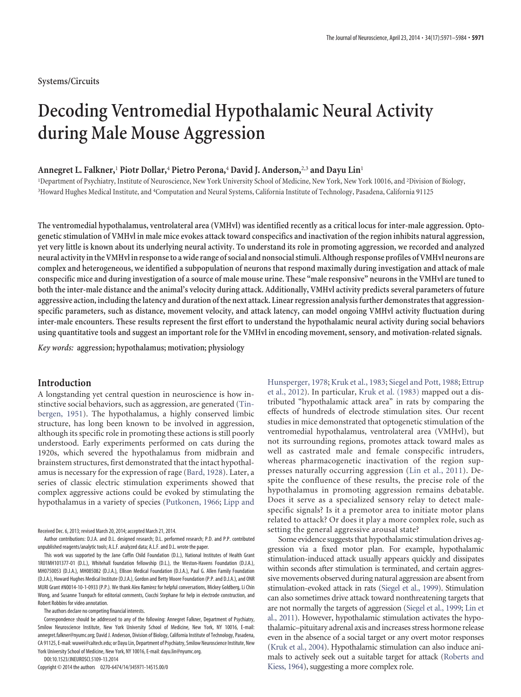# **Decoding Ventromedial Hypothalamic Neural Activity during Male Mouse Aggression**

# **Annegret L. Falkner,**<sup>1</sup> **Piotr Dollar,**<sup>4</sup> **Pietro Perona,**<sup>4</sup> **David J. Anderson,**2,3 **and Dayu Lin**<sup>1</sup>

<sup>1</sup>Department of Psychiatry, Institute of Neuroscience, New York University School of Medicine, New York, New York 10016, and <sup>2</sup>Division of Biology, 3 Howard Hughes Medical Institute, and <sup>4</sup> Computation and Neural Systems, California Institute of Technology, Pasadena, California 91125

**The ventromedial hypothalamus, ventrolateral area (VMHvl) was identified recently as a critical locus for inter-male aggression. Optogenetic stimulation of VMHvl in male mice evokes attack toward conspecifics and inactivation of the region inhibits natural aggression, yet very little is known about its underlying neural activity. To understand its role in promoting aggression, we recorded and analyzed neural activity inthe VMHvl in responseto a wide range of social and nonsocial stimuli. Although response profiles of VMHvl neurons are complex and heterogeneous, we identified a subpopulation of neurons that respond maximally during investigation and attack of male conspecific mice and during investigation of a source of male mouse urine. These "male responsive" neurons in the VMHvl are tuned to both the inter-male distance and the animal's velocity during attack. Additionally, VMHvl activity predicts several parameters of future aggressive action, including the latency and duration of the next attack. Linear regression analysis further demonstrates that aggressionspecific parameters, such as distance, movement velocity, and attack latency, can model ongoing VMHvl activity fluctuation during inter-male encounters. These results represent the first effort to understand the hypothalamic neural activity during social behaviors using quantitative tools and suggest an important role for the VMHvl in encoding movement, sensory, and motivation-related signals.**

*Key words:* **aggression; hypothalamus; motivation; physiology**

# **Introduction**

A longstanding yet central question in neuroscience is how instinctive social behaviors, such as aggression, are generated [\(Tin](#page-13-0)[bergen, 1951\)](#page-13-0). The hypothalamus, a highly conserved limbic structure, has long been known to be involved in aggression, although its specific role in promoting these actions is still poorly understood. Early experiments performed on cats during the 1920s, which severed the hypothalamus from midbrain and brainstem structures, first demonstrated that the intact hypothalamus is necessary for the expression of rage [\(Bard, 1928\)](#page-12-0). Later, a series of classic electric stimulation experiments showed that complex aggressive actions could be evoked by stimulating the hypothalamus in a variety of species [\(Putkonen, 1966;](#page-13-1) [Lipp and](#page-13-2)

The authors declare no competing financial interests.

Correspondence should be addressed to any of the following: Annegret Falkner, Department of Psychiatry, Smilow Neuroscience Institute, New York University School of Medicine, New York, NY 10016, E-mail: annegret.falkner@nyumc.org; David J. Anderson, Division of Biology, California Institute of Technology, Pasadena, CA 91125, E-mail: wuwei@caltech.edu; or Dayu Lin, Department of Psychiatry, Smilow Neuroscience Institute, New York University School of Medicine, New York, NY 10016, E-mail: dayu.lin@nyumc.org.

DOI:10.1523/JNEUROSCI.5109-13.2014

Copyright © 2014 the authors 0270-6474/14/345971-14\$15.00/0

[Hunsperger, 1978;](#page-13-2) [Kruk et al., 1983;](#page-13-3) [Siegel and Pott, 1988;](#page-13-4) [Ettrup](#page-12-1) [et al., 2012\)](#page-12-1). In particular, [Kruk et al. \(1983\)](#page-13-3) mapped out a distributed "hypothalamic attack area" in rats by comparing the effects of hundreds of electrode stimulation sites. Our recent studies in mice demonstrated that optogenetic stimulation of the ventromedial hypothalamus, ventrolateral area (VMHvl), but not its surrounding regions, promotes attack toward males as well as castrated male and female conspecific intruders, whereas pharmacogenetic inactivation of the region suppresses naturally occurring aggression [\(Lin et al., 2011\)](#page-13-5). Despite the confluence of these results, the precise role of the hypothalamus in promoting aggression remains debatable. Does it serve as a specialized sensory relay to detect malespecific signals? Is it a premotor area to initiate motor plans related to attack? Or does it play a more complex role, such as setting the general aggressive arousal state?

Some evidence suggests that hypothalamic stimulation drives aggression via a fixed motor plan. For example, hypothalamic stimulation-induced attack usually appears quickly and dissipates within seconds after stimulation is terminated, and certain aggressive movements observed during natural aggression are absent from stimulation-evoked attack in rats [\(Siegel et al., 1999\)](#page-13-6). Stimulation can also sometimes drive attack toward nonthreatening targets that are not normally the targets of aggression [\(Siegel et al., 1999;](#page-13-6) [Lin et](#page-13-5) [al., 2011\)](#page-13-5). However, hypothalamic stimulation activates the hypothalamic–pituitary adrenal axis and increases stress hormone release even in the absence of a social target or any overt motor responses [\(Kruk et al., 2004\)](#page-13-7). Hypothalamic stimulation can also induce animals to actively seek out a suitable target for attack [\(Roberts and](#page-13-8) [Kiess, 1964\)](#page-13-8), suggesting a more complex role.

Received Dec. 6, 2013; revised March 20, 2014; accepted March 21, 2014.

Author contributions: D.J.A. and D.L. designed research; D.L. performed research; P.D. and P.P. contributed unpublished reagents/analytic tools; A.L.F. analyzed data; A.L.F. and D.L. wrote the paper.

This work was supported by the Jane Coffin Child Foundation (D.L.), National Institutes of Health Grant 1R01MH101377-01 (D.L.), Whitehall foundation fellowship (D.L.), the Weston-Havens Foundation (D.J.A.), MH0750053 (D.J.A.), MH085082 (D.J.A.), Ellison Medical Foundation (D.J.A.), Paul G. Allen Family Foundation (D.J.A.), Howard Hughes Medical Institute (D.J.A.), Gordon and Betty Moore Foundation (P.P. and D.J.A.), and ONR MURI Grant #N0014-10-1-0933 (P.P.). We thank Alex Ramirez for helpful conversations, Mickey Goldberg, Li Chin Wong, and Susanne Tranguch for editorial comments, Ciocchi Stephane for help in electrode construction, and Robert Robbins for video annotation.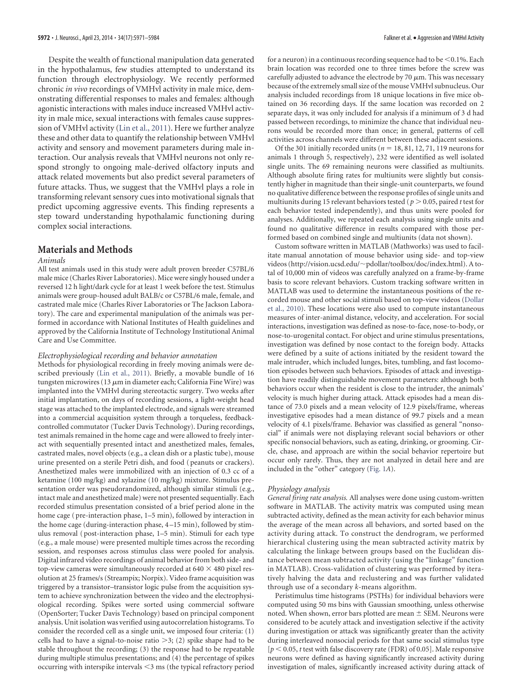Despite the wealth of functional manipulation data generated in the hypothalamus, few studies attempted to understand its function through electrophysiology. We recently performed chronic *in vivo* recordings of VMHvl activity in male mice, demonstrating differential responses to males and females: although agonistic interactions with males induce increased VMHvl activity in male mice, sexual interactions with females cause suppression of VMHvl activity [\(Lin et al., 2011\)](#page-13-5). Here we further analyze these and other data to quantify the relationship between VMHvl activity and sensory and movement parameters during male interaction. Our analysis reveals that VMHvl neurons not only respond strongly to ongoing male-derived olfactory inputs and attack related movements but also predict several parameters of future attacks. Thus, we suggest that the VMHvl plays a role in transforming relevant sensory cues into motivational signals that predict upcoming aggressive events. This finding represents a step toward understanding hypothalamic functioning during complex social interactions.

## **Materials and Methods**

#### *Animals*

All test animals used in this study were adult proven breeder C57BL/6 male mice (Charles River Laboratories). Mice were singly housed under a reversed 12 h light/dark cycle for at least 1 week before the test. Stimulus animals were group-housed adult BALB/c or C57BL/6 male, female, and castrated male mice (Charles River Laboratories or The Jackson Laboratory). The care and experimental manipulation of the animals was performed in accordance with National Institutes of Health guidelines and approved by the California Institute of Technology Institutional Animal Care and Use Committee.

#### *Electrophysiological recording and behavior annotation*

Methods for physiological recording in freely moving animals were described previously [\(Lin et al., 2011\)](#page-13-5). Briefly, a movable bundle of 16 tungsten microwires (13  $\mu$ m in diameter each; California Fine Wire) was implanted into the VMHvl during stereotactic surgery. Two weeks after initial implantation, on days of recording sessions, a light-weight head stage was attached to the implanted electrode, and signals were streamed into a commercial acquisition system through a torqueless, feedbackcontrolled commutator (Tucker Davis Technology). During recordings, test animals remained in the home cage and were allowed to freely interact with sequentially presented intact and anesthetized males, females, castrated males, novel objects (e.g., a clean dish or a plastic tube), mouse urine presented on a sterile Petri dish, and food ( peanuts or crackers). Anesthetized males were immobilized with an injection of 0.3 cc of a ketamine (100 mg/kg) and xylazine (10 mg/kg) mixture. Stimulus presentation order was pseudorandomized, although similar stimuli (e.g., intact male and anesthetized male) were not presented sequentially. Each recorded stimulus presentation consisted of a brief period alone in the home cage ( pre-interaction phase, 1–5 min), followed by interaction in the home cage (during-interaction phase, 4 –15 min), followed by stimulus removal ( post-interaction phase, 1–5 min). Stimuli for each type (e.g., a male mouse) were presented multiple times across the recording session, and responses across stimulus class were pooled for analysis. Digital infrared video recordings of animal behavior from both side- and top-view cameras were simultaneously recorded at  $640 \times 480$  pixel resolution at 25 frames/s (Streampix; Norpix). Video frame acquisition was triggered by a transistor–transistor logic pulse from the acquisition system to achieve synchronization between the video and the electrophysiological recording. Spikes were sorted using commercial software (OpenSorter; Tucker Davis Technology) based on principal component analysis. Unit isolation was verified using autocorrelation histograms. To consider the recorded cell as a single unit, we imposed four criteria: (1) cells had to have a signal-to-noise ratio  $>3$ ; (2) spike shape had to be stable throughout the recording; (3) the response had to be repeatable during multiple stimulus presentations; and (4) the percentage of spikes occurring with interspike intervals <3 ms (the typical refractory period

for a neuron) in a continuous recording sequence had to be  $\leq 0.1\%$ . Each brain location was recorded one to three times before the screw was carefully adjusted to advance the electrode by 70  $\mu$ m. This was necessary because of the extremely small size of the mouse VMHvl subnucleus. Our analysis included recordings from 18 unique locations in five mice obtained on 36 recording days. If the same location was recorded on 2 separate days, it was only included for analysis if a minimum of 3 d had passed between recordings, to minimize the chance that individual neurons would be recorded more than once; in general, patterns of cell activities across channels were different between these adjacent sessions.

Of the 301 initially recorded units ( $n = 18, 81, 12, 71, 119$  neurons for animals 1 through 5, respectively), 232 were identified as well isolated single units. The 69 remaining neurons were classified as multiunits. Although absolute firing rates for multiunits were slightly but consistently higher in magnitude than their single-unit counterparts, we found no qualitative difference between the response profiles of single units and multiunits during 15 relevant behaviors tested ( $p > 0.05$ , paired *t* test for each behavior tested independently), and thus units were pooled for analyses. Additionally, we repeated each analysis using single units and found no qualitative difference in results compared with those performed based on combined single and multiunits (data not shown).

Custom software written in MATLAB (Mathworks) was used to facilitate manual annotation of mouse behavior using side- and top-view videos (http://vision.ucsd.edu/~[pdollar/toolbox/doc/index.html\)](http://vision.ucsd.edu/~pdollar/toolbox/doc/index.html). A total of 10,000 min of videos was carefully analyzed on a frame-by-frame basis to score relevant behaviors. Custom tracking software written in MATLAB was used to determine the instantaneous positions of the recorded mouse and other social stimuli based on top-view videos [\(Dollar](#page-12-2) [et al., 2010\)](#page-12-2). These locations were also used to compute instantaneous measures of inter-animal distance, velocity, and acceleration. For social interactions, investigation was defined as nose-to-face, nose-to-body, or nose-to-urogenital contact. For object and urine stimulus presentations, investigation was defined by nose contact to the foreign body. Attacks were defined by a suite of actions initiated by the resident toward the male intruder, which included lunges, bites, tumbling, and fast locomotion episodes between such behaviors. Episodes of attack and investigation have readily distinguishable movement parameters: although both behaviors occur when the resident is close to the intruder, the animals' velocity is much higher during attack. Attack episodes had a mean distance of 73.0 pixels and a mean velocity of 12.9 pixels/frame, whereas investigative episodes had a mean distance of 99.7 pixels and a mean velocity of 4.1 pixels/frame. Behavior was classified as general "nonsocial" if animals were not displaying relevant social behaviors or other specific nonsocial behaviors, such as eating, drinking, or grooming. Circle, chase, and approach are within the social behavior repertoire but occur only rarely. Thus, they are not analyzed in detail here and are included in the "other" category [\(Fig. 1](#page-2-0)*A*).

#### *Physiology analysis*

*General firing rate analysis.* All analyses were done using custom-written software in MATLAB. The activity matrix was computed using mean subtracted activity, defined as the mean activity for each behavior minus the average of the mean across all behaviors, and sorted based on the activity during attack. To construct the dendrogram, we performed hierarchical clustering using the mean subtracted activity matrix by calculating the linkage between groups based on the Euclidean distance between mean subtracted activity (using the "linkage" function in MATLAB). Cross-validation of clustering was performed by iteratively halving the data and reclustering and was further validated through use of a secondary *k*-means algorithm.

Peristimulus time histograms (PSTHs) for individual behaviors were computed using 50 ms bins with Gaussian smoothing, unless otherwise noted. When shown, error bars plotted are mean  $\pm$  SEM. Neurons were considered to be acutely attack and investigation selective if the activity during investigation or attack was significantly greater than the activity during interleaved nonsocial periods for that same social stimulus type  $[p < 0.05, t$  test with false discovery rate (FDR) of 0.05]. Male responsive neurons were defined as having significantly increased activity during investigation of males, significantly increased activity during attack of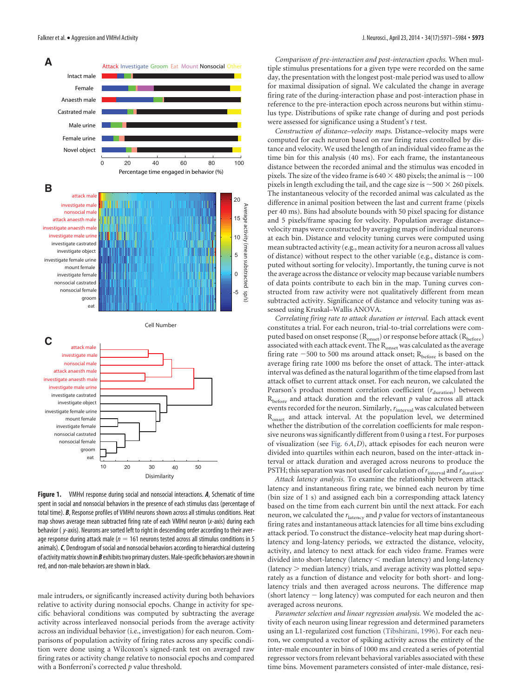

<span id="page-2-0"></span>**Figure 1.** VMHvl response during social and nonsocial interactions. *A*, Schematic of time spent in social and nonsocial behaviors in the presence of each stimulus class (percentage of total time). *B*, Response profiles of VMHvl neurons shown across all stimulus conditions. Heat map shows average mean subtracted firing rate of each VMHvl neuron (*x*-axis) during each behavior ( *y*-axis). Neurons are sorted left to right in descending order according to their average response during attack male ( $n = 161$  neurons tested across all stimulus conditions in 5 animals).*C*, Dendrogram of social and nonsocial behaviors according to hierarchical clustering of activitymatrixshown in*B*exhibitstwo primary clusters.Male-specific behaviors areshown in red, and non-male behaviors are shown in black.

male intruders, or significantly increased activity during both behaviors relative to activity during nonsocial epochs. Change in activity for specific behavioral conditions was computed by subtracting the average activity across interleaved nonsocial periods from the average activity across an individual behavior (i.e., investigation) for each neuron. Comparisons of population activity of firing rates across any specific condition were done using a Wilcoxon's signed-rank test on averaged raw firing rates or activity change relative to nonsocial epochs and compared with a Bonferroni's corrected *p* value threshold.

*Comparison of pre-interaction and post-interaction epochs.* When multiple stimulus presentations for a given type were recorded on the same day, the presentation with the longest post-male period was used to allow for maximal dissipation of signal. We calculated the change in average firing rate of the during-interaction phase and post-interaction phase in reference to the pre-interaction epoch across neurons but within stimulus type. Distributions of spike rate change of during and post periods were assessed for significance using a Student's *t* test.

*Construction of distance–velocity maps.* Distance–velocity maps were computed for each neuron based on raw firing rates controlled by distance and velocity. We used the length of an individual video frame as the time bin for this analysis (40 ms). For each frame, the instantaneous distance between the recorded animal and the stimulus was encoded in pixels. The size of the video frame is 640  $\times$  480 pixels; the animal is  ${\sim}100$ pixels in length excluding the tail, and the cage size is  ${\sim}500$   ${\times}$  260 pixels. The instantaneous velocity of the recorded animal was calculated as the difference in animal position between the last and current frame (pixels per 40 ms). Bins had absolute bounds with 50 pixel spacing for distance and 5 pixels/frame spacing for velocity. Population average distance– velocity maps were constructed by averaging maps of individual neurons at each bin. Distance and velocity tuning curves were computed using mean subtracted activity (e.g., mean activity for a neuron across all values of distance) without respect to the other variable (e.g., distance is computed without sorting for velocity). Importantly, the tuning curve is not the average across the distance or velocity map because variable numbers of data points contribute to each bin in the map. Tuning curves constructed from raw activity were not qualitatively different from mean subtracted activity. Significance of distance and velocity tuning was assessed using Kruskal–Wallis ANOVA.

*Correlating firing rate to attack duration or interval.* Each attack event constitutes a trial. For each neuron, trial-to-trial correlations were computed based on onset response ( $R_{onset}$ ) or response before attack ( $R_{before}$ ) associated with each attack event. The  $\rm R_{onset}$  was calculated as the average firing rate  $-500$  to 500 ms around attack onset;  $R<sub>before</sub>$  is based on the average firing rate 1000 ms before the onset of attack. The inter-attack interval was defined as the natural logarithm of the time elapsed from last attack offset to current attack onset. For each neuron, we calculated the Pearson's product moment correlation coefficient ( $r_{\rm duration}$ ) between  $R<sub>before</sub>$  and attack duration and the relevant  $p$  value across all attack events recorded for the neuron. Similarly,  $r_{\text{interval}}$  was calculated between R<sub>onset</sub> and attack interval. At the population level, we determined whether the distribution of the correlation coefficients for male responsive neurons was significantly different from 0 using a *t* test. For purposes of visualization (see [Fig. 6](#page-8-0)*A*,*D*), attack episodes for each neuron were divided into quartiles within each neuron, based on the inter-attack interval or attack duration and averaged across neurons to produce the PSTH; this separation was not used for calculation of  $r_{\text{interval}}$  and  $r_{\text{duration}}$ .

*Attack latency analysis.* To examine the relationship between attack latency and instantaneous firing rate, we binned each neuron by time (bin size of 1 s) and assigned each bin a corresponding attack latency based on the time from each current bin until the next attack. For each neuron, we calculated the  $r_{\text{latency}}$  and  $p$  value for vectors of instantaneous firing rates and instantaneous attack latencies for all time bins excluding attack period. To construct the distance–velocity heat map during shortlatency and long-latency periods, we extracted the distance, velocity, activity, and latency to next attack for each video frame. Frames were divided into short-latency (latency  $\leq$  median latency) and long-latency  $(latency$   $>$  median latency) trials, and average activity was plotted separately as a function of distance and velocity for both short- and longlatency trials and then averaged across neurons. The difference map  $(short latency - long latency)$  was computed for each neuron and then averaged across neurons.

*Parameter selection and linear regression analysis.* We modeled the activity of each neuron using linear regression and determined parameters using an L1-regularized cost function [\(Tibshirani, 1996\)](#page-13-9). For each neuron, we computed a vector of spiking activity across the entirety of the inter-male encounter in bins of 1000 ms and created a series of potential regressor vectors from relevant behavioral variables associated with these time bins. Movement parameters consisted of inter-male distance, resi-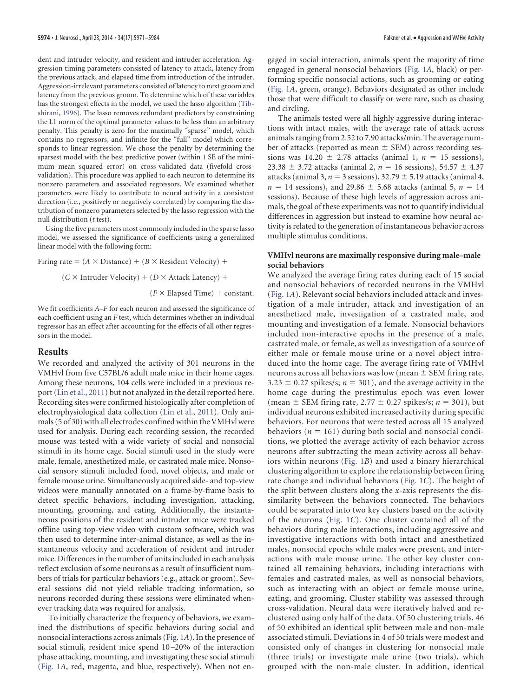dent and intruder velocity, and resident and intruder acceleration. Aggression timing parameters consisted of latency to attack, latency from the previous attack, and elapsed time from introduction of the intruder. Aggression-irrelevant parameters consisted of latency to next groom and latency from the previous groom. To determine which of these variables has the strongest effects in the model, we used the lasso algorithm [\(Tib](#page-13-9)[shirani, 1996\)](#page-13-9). The lasso removes redundant predictors by constraining the L1 norm of the optimal parameter values to be less than an arbitrary penalty. This penalty is zero for the maximally "sparse" model, which contains no regressors, and infinite for the "full" model which corresponds to linear regression. We chose the penalty by determining the sparsest model with the best predictive power (within 1 SE of the minimum mean squared error) on cross-validated data (fivefold crossvalidation). This procedure was applied to each neuron to determine its nonzero parameters and associated regressors. We examined whether parameters were likely to contribute to neural activity in a consistent direction (i.e., positively or negatively correlated) by comparing the distribution of nonzero parameters selected by the lasso regression with the null distribution (*t* test).

Using the five parameters most commonly included in the sparse lasso model, we assessed the significance of coefficients using a generalized linear model with the following form:

Firing rate =  $(A \times \text{Distance}) + (B \times \text{Resident Velocity}) +$ 

 $(C \times$  Intruder Velocity) +  $(D \times$  Attack Latency) +

 $(F \times$  Elapsed Time) + constant.

We fit coefficients *A–F* for each neuron and assessed the significance of each coefficient using an *F* test, which determines whether an individual regressor has an effect after accounting for the effects of all other regressors in the model.

#### **Results**

We recorded and analyzed the activity of 301 neurons in the VMHvl from five C57BL/6 adult male mice in their home cages. Among these neurons, 104 cells were included in a previous report [\(Lin et al., 2011\)](#page-13-5) but not analyzed in the detail reported here. Recording sites were confirmed histologically after completion of electrophysiological data collection [\(Lin et al., 2011\)](#page-13-5). Only animals (5 of 30) with all electrodes confined within the VMHvl were used for analysis. During each recording session, the recorded mouse was tested with a wide variety of social and nonsocial stimuli in its home cage. Social stimuli used in the study were male, female, anesthetized male, or castrated male mice. Nonsocial sensory stimuli included food, novel objects, and male or female mouse urine. Simultaneously acquired side- and top-view videos were manually annotated on a frame-by-frame basis to detect specific behaviors, including investigation, attacking, mounting, grooming, and eating. Additionally, the instantaneous positions of the resident and intruder mice were tracked offline using top-view video with custom software, which was then used to determine inter-animal distance, as well as the instantaneous velocity and acceleration of resident and intruder mice. Differences in the number of units included in each analysis reflect exclusion of some neurons as a result of insufficient numbers of trials for particular behaviors (e.g., attack or groom). Several sessions did not yield reliable tracking information, so neurons recorded during these sessions were eliminated whenever tracking data was required for analysis.

To initially characterize the frequency of behaviors, we examined the distributions of specific behaviors during social and nonsocial interactions across animals [\(Fig. 1](#page-2-0)*A*). In the presence of social stimuli, resident mice spend 10 –20% of the interaction phase attacking, mounting, and investigating these social stimuli [\(Fig. 1](#page-2-0)*A*, red, magenta, and blue, respectively). When not engaged in social interaction, animals spent the majority of time engaged in general nonsocial behaviors [\(Fig. 1](#page-2-0)*A*, black) or performing specific nonsocial actions, such as grooming or eating [\(Fig. 1](#page-2-0)*A*, green, orange). Behaviors designated as other include those that were difficult to classify or were rare, such as chasing and circling.

The animals tested were all highly aggressive during interactions with intact males, with the average rate of attack across animals ranging from 2.52 to 7.90 attacks/min. The average number of attacks (reported as mean  $\pm$  SEM) across recording sessions was  $14.20 \pm 2.78$  attacks (animal 1,  $n = 15$  sessions), 23.38  $\pm$  3.72 attacks (animal 2,  $n = 16$  sessions), 54.57  $\pm$  4.37 attacks (animal 3,  $n = 3$  sessions),  $32.79 \pm 5.19$  attacks (animal 4,  $n = 14$  sessions), and 29.86  $\pm$  5.68 attacks (animal 5,  $n = 14$ sessions). Because of these high levels of aggression across animals, the goal of these experiments was not to quantify individual differences in aggression but instead to examine how neural activity is related to the generation of instantaneous behavior across multiple stimulus conditions.

# **VMHvl neurons are maximally responsive during male–male social behaviors**

We analyzed the average firing rates during each of 15 social and nonsocial behaviors of recorded neurons in the VMHvl [\(Fig. 1](#page-2-0)*A*). Relevant social behaviors included attack and investigation of a male intruder, attack and investigation of an anesthetized male, investigation of a castrated male, and mounting and investigation of a female. Nonsocial behaviors included non-interactive epochs in the presence of a male, castrated male, or female, as well as investigation of a source of either male or female mouse urine or a novel object introduced into the home cage. The average firing rate of VMHvl neurons across all behaviors was low (mean  $\pm$  SEM firing rate, 3.23  $\pm$  0.27 spikes/s;  $n = 301$ ), and the average activity in the home cage during the prestimulus epoch was even lower (mean  $\pm$  SEM firing rate, 2.77  $\pm$  0.27 spikes/s; *n* = 301), but individual neurons exhibited increased activity during specific behaviors. For neurons that were tested across all 15 analyzed behaviors ( $n = 161$ ) during both social and nonsocial conditions, we plotted the average activity of each behavior across neurons after subtracting the mean activity across all behaviors within neurons [\(Fig. 1](#page-2-0)*B*) and used a binary hierarchical clustering algorithm to explore the relationship between firing rate change and individual behaviors [\(Fig. 1](#page-2-0)*C*). The height of the split between clusters along the *x*-axis represents the dissimilarity between the behaviors connected. The behaviors could be separated into two key clusters based on the activity of the neurons [\(Fig. 1](#page-2-0)*C*). One cluster contained all of the behaviors during male interactions, including aggressive and investigative interactions with both intact and anesthetized males, nonsocial epochs while males were present, and interactions with male mouse urine. The other key cluster contained all remaining behaviors, including interactions with females and castrated males, as well as nonsocial behaviors, such as interacting with an object or female mouse urine, eating, and grooming. Cluster stability was assessed through cross-validation. Neural data were iteratively halved and reclustered using only half of the data. Of 50 clustering trials, 46 of 50 exhibited an identical split between male and non-male associated stimuli. Deviations in 4 of 50 trials were modest and consisted only of changes in clustering for nonsocial male (three trials) or investigate male urine (two trials), which grouped with the non-male cluster. In addition, identical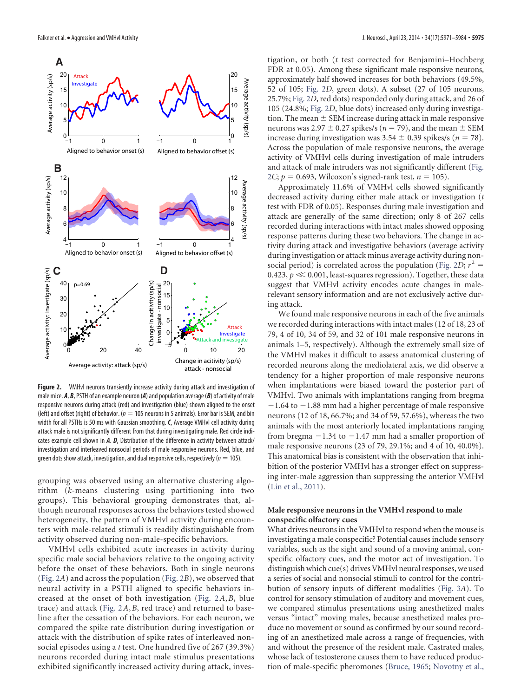

<span id="page-4-0"></span>**Figure 2.** VMHvl neurons transiently increase activity during attack and investigation of male mice. *A*, *B*, PSTH of an example neuron (*A*) and population average (*B*) of activity of male responsive neurons during attack (red) and investigation (blue) shown aligned to the onset (left) and offset (right) of behavior.  $(n = 105$  neurons in 5 animals). Error bar is SEM, and bin width for all PSTHs is 50 ms with Gaussian smoothing. *C*, Average VMHvl cell activity during attack male is not significantly different from that during investigating male. Red circle indicates example cell shown in *A*. *D*, Distribution of the difference in activity between attack/ investigation and interleaved nonsocial periods of male responsive neurons. Red, blue, and green dots show attack, investigation, and dual responsive cells, respectively ( $n = 105$ ).

grouping was observed using an alternative clustering algorithm (*k*-means clustering using partitioning into two groups). This behavioral grouping demonstrates that, although neuronal responses across the behaviors tested showed heterogeneity, the pattern of VMHvl activity during encounters with male-related stimuli is readily distinguishable from activity observed during non-male-specific behaviors.

VMHvl cells exhibited acute increases in activity during specific male social behaviors relative to the ongoing activity before the onset of these behaviors. Both in single neurons [\(Fig. 2](#page-4-0)*A*) and across the population [\(Fig. 2](#page-4-0)*B*), we observed that neural activity in a PSTH aligned to specific behaviors increased at the onset of both investigation [\(Fig. 2](#page-4-0)*A*,*B*, blue trace) and attack [\(Fig. 2](#page-4-0)*A*,*B*, red trace) and returned to baseline after the cessation of the behaviors. For each neuron, we compared the spike rate distribution during investigation or attack with the distribution of spike rates of interleaved nonsocial episodes using a *t* test. One hundred five of 267 (39.3%) neurons recorded during intact male stimulus presentations exhibited significantly increased activity during attack, investigation, or both (*t* test corrected for Benjamini–Hochberg FDR at 0.05). Among these significant male responsive neurons, approximately half showed increases for both behaviors (49.5%, 52 of 105; [Fig. 2](#page-4-0)*D*, green dots). A subset (27 of 105 neurons, 25.7%; [Fig. 2](#page-4-0)*D*, red dots) responded only during attack, and 26 of 105 (24.8%; [Fig. 2](#page-4-0)*D*, blue dots) increased only during investigation. The mean  $\pm$  SEM increase during attack in male responsive neurons was 2.97  $\pm$  0.27 spikes/s ( $n = 79$ ), and the mean  $\pm$  SEM increase during investigation was  $3.54 \pm 0.39$  spikes/s ( $n = 78$ ). Across the population of male responsive neurons, the average activity of VMHvl cells during investigation of male intruders and attack of male intruders was not significantly different [\(Fig.](#page-4-0) [2](#page-4-0)*C*;  $p = 0.693$ , Wilcoxon's signed-rank test,  $n = 105$ ).

Approximately 11.6% of VMHvl cells showed significantly decreased activity during either male attack or investigation (*t* test with FDR of 0.05). Responses during male investigation and attack are generally of the same direction; only 8 of 267 cells recorded during interactions with intact males showed opposing response patterns during these two behaviors. The change in activity during attack and investigative behaviors (average activity during investigation or attack minus average activity during non-social period) is correlated across the population [\(Fig. 2](#page-4-0)*D*;  $r^2$  = 0.423,  $p \ll 0.001$ , least-squares regression). Together, these data suggest that VMHvl activity encodes acute changes in malerelevant sensory information and are not exclusively active during attack.

We found male responsive neurons in each of the five animals we recorded during interactions with intact males (12 of 18, 23 of 79, 4 of 10, 34 of 59, and 32 of 101 male responsive neurons in animals 1–5, respectively). Although the extremely small size of the VMHvl makes it difficult to assess anatomical clustering of recorded neurons along the mediolateral axis, we did observe a tendency for a higher proportion of male responsive neurons when implantations were biased toward the posterior part of VMHvl. Two animals with implantations ranging from bregma  $-1.64$  to  $-1.88$  mm had a higher percentage of male responsive neurons (12 of 18, 66.7%; and 34 of 59, 57.6%), whereas the two animals with the most anteriorly located implantations ranging from bregma  $-1.34$  to  $-1.47$  mm had a smaller proportion of male responsive neurons (23 of 79, 29.1%; and 4 of 10, 40.0%). This anatomical bias is consistent with the observation that inhibition of the posterior VMHvl has a stronger effect on suppressing inter-male aggression than suppressing the anterior VMHvl [\(Lin et al., 2011\)](#page-13-5).

## **Male responsive neurons in the VMHvl respond to male conspecific olfactory cues**

What drives neurons in the VMHvl to respond when the mouse is investigating a male conspecific? Potential causes include sensory variables, such as the sight and sound of a moving animal, conspecific olfactory cues, and the motor act of investigation. To distinguish which cue(s) drives VMHvl neural responses, we used a series of social and nonsocial stimuli to control for the contribution of sensory inputs of different modalities [\(Fig. 3](#page-5-0)*A*). To control for sensory stimulation of auditory and movement cues, we compared stimulus presentations using anesthetized males versus "intact" moving males, because anesthetized males produce no movement or sound as confirmed by our sound recording of an anesthetized male across a range of frequencies, with and without the presence of the resident male. Castrated males, whose lack of testosterone causes them to have reduced production of male-specific pheromones [\(Bruce, 1965;](#page-12-3) [Novotny et al.,](#page-13-10)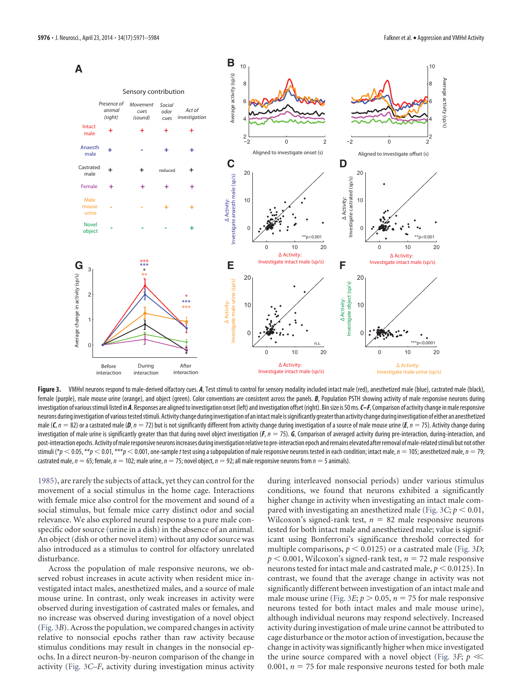

<span id="page-5-0"></span>Figure 3. VMHvl neurons respond to male-derived olfactory cues. A, Test stimuli to control for sensory modality included intact male (red), anesthetized male (blue), castrated male (black), female (purple), male mouse urine (orange), and object (green). Color conventions are consistent across the panels. *B*, Population PSTH showing activity of male responsive neurons during investigation of various stimuli listed in *A*. Responses are aligned to investigation onset (left) and investigation offset (right). Bin size is 50 ms.  $\epsilon$ –F, Comparison of activity change in male responsive neurons during investigation of varioustestedstimuli.Activity change during investigation of an intactmale issignificantly greaterthan activity change during investigation of either an anesthetized male (C,  $n = 82$ ) or a castrated male (D,  $n = 72$ ) but is not significantly different from activity change during investigation of a source of male mouse urine (E,  $n = 75$ ). Activity change during investigation of male urine is significantly greater than that during novel object investigation (*F*,  $n = 75$ ). *G*, Comparison of averaged activity during pre-interaction, during-interaction, and post-interaction epochs.Activity ofmaleresponsive neurons increases during investigationrelativeto pre-interaction epoch andremains elevated afterremoval ofmale-relatedstimuli but not other stimuli (\* $p < 0.05$ , \*\* $p < 0.01$ , \*\*\* $p < 0.001$ , one-sample *t* test using a subpopulation of male responsive neurons tested in each condition; intact male,  $n = 105$ ; anesthetized male,  $n = 79$ ; castrated male,  $n = 65$ ; female,  $n = 102$ ; male urine,  $n = 75$ ; novel object,  $n = 92$ ; all male responsive neurons from  $n = 5$  animals).

[1985\)](#page-13-10), are rarely the subjects of attack, yet they can control for the movement of a social stimulus in the home cage. Interactions with female mice also control for the movement and sound of a social stimulus, but female mice carry distinct odor and social relevance. We also explored neural response to a pure male conspecific odor source (urine in a dish) in the absence of an animal. An object (dish or other novel item) without any odor source was also introduced as a stimulus to control for olfactory unrelated disturbance.

Across the population of male responsive neurons, we observed robust increases in acute activity when resident mice investigated intact males, anesthetized males, and a source of male mouse urine. In contrast, only weak increases in activity were observed during investigation of castrated males or females, and no increase was observed during investigation of a novel object [\(Fig. 3](#page-5-0)*B*). Across the population, we compared changes in activity relative to nonsocial epochs rather than raw activity because stimulus conditions may result in changes in the nonsocial epochs. In a direct neuron-by-neuron comparison of the change in activity [\(Fig. 3](#page-5-0)*C–F*, activity during investigation minus activity during interleaved nonsocial periods) under various stimulus conditions, we found that neurons exhibited a significantly higher change in activity when investigating an intact male compared with investigating an anesthetized male (Fig.  $3C$ ;  $p < 0.01$ , Wilcoxon's signed-rank test,  $n = 82$  male responsive neurons tested for both intact male and anesthetized male; value is significant using Bonferroni's significance threshold corrected for multiple comparisons,  $p < 0.0125$ ) or a castrated male [\(Fig. 3](#page-5-0)*D*;  $p < 0.001$ , Wilcoxon's signed-rank test,  $n = 72$  male responsive neurons tested for intact male and castrated male,  $p < 0.0125$ ). In contrast, we found that the average change in activity was not significantly different between investigation of an intact male and male mouse urine (Fig.  $3E$ ;  $p > 0.05$ ,  $n = 75$  for male responsive neurons tested for both intact males and male mouse urine), although individual neurons may respond selectively. Increased activity during investigation of male urine cannot be attributed to cage disturbance or the motor action of investigation, because the change in activity was significantly higher when mice investigated the urine source compared with a novel object [\(Fig. 3](#page-5-0)*F*;  $p \ll$ 0.001,  $n = 75$  for male responsive neurons tested for both male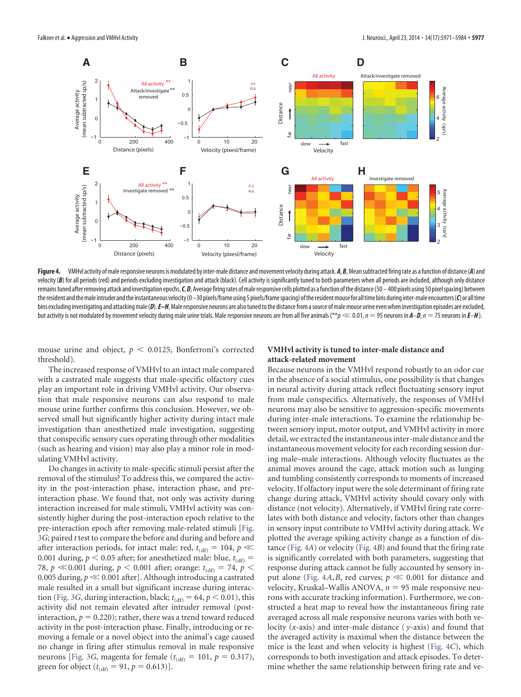

<span id="page-6-0"></span>Figure 4. VMHvl activity of male responsive neurons is modulated by inter-male distance and movement velocity during attack. *A*, *B*, Mean subtracted firing rate as a function of distance (*A*) and velocity (B) for all periods (red) and periods excluding investigation and attack (black). Cell activity is significantly tuned to both parameters when all periods are included, although only distance remains tuned after removing attack and investigation epochs. C, D, Average firing rates of male responsive cells plotted as a function of the distance (50 – 400 pixels using 50 pixel spacing) between the resident and the male intruder and the instantaneous velocity (0-30 pixels/frame using 5 pixels/frame spacing) of the resident mouse for all time bins during inter-male encounters (C) or all time bins excluding investigating and attacking male (*D*).  $E-H$ , Male responsive neurons are also tuned to the distance from a source of male mouse urine even when investigation episodes are excluded, but activity is not modulated by movement velocity during male urine trials. Male responsive neurons are from all five animals (\*\*p  $\ll 0.01$ ,  $n = 95$  neurons in  $A-D$ ,  $n = 75$  neurons in  $E-H$ ).

mouse urine and object,  $p < 0.0125$ , Bonferroni's corrected threshold).

## **VMHvl activity is tuned to inter-male distance and attack-related movement**

The increased response of VMHvl to an intact male compared with a castrated male suggests that male-specific olfactory cues play an important role in driving VMHvl activity. Our observation that male responsive neurons can also respond to male mouse urine further confirms this conclusion. However, we observed small but significantly higher activity during intact male investigation than anesthetized male investigation, suggesting that conspecific sensory cues operating through other modalities (such as hearing and vision) may also play a minor role in modulating VMHvl activity.

Do changes in activity to male-specific stimuli persist after the removal of the stimulus? To address this, we compared the activity in the post-interaction phase, interaction phase, and preinteraction phase. We found that, not only was activity during interaction increased for male stimuli, VMHvl activity was consistently higher during the post-interaction epoch relative to the pre-interaction epoch after removing male-related stimuli [\[Fig.](#page-5-0) [3](#page-5-0)*G*; paired *t* test to compare the before and during and before and after interaction periods, for intact male: red,  $t_{(df)} = 104$ ,  $p \ll$ 0.001 during,  $p < 0.05$  after; for anesthetized male: blue,  $t_{(df)}$  = 78, *p*  $\ll$  0.001 during, *p*  $\lt$  0.001 after; orange:  $t_{(df)} = 74$ , *p*  $\lt$ 0.005 during,  $p \ll 0.001$  after]. Although introducing a castrated male resulted in a small but significant increase during interac-tion [\(Fig. 3](#page-5-0)*G*, during interaction, black;  $t_{(df)} = 64$ ,  $p < 0.01$ ), this activity did not remain elevated after intruder removal (postinteraction,  $p = 0.220$ ); rather, there was a trend toward reduced activity in the post-interaction phase. Finally, introducing or removing a female or a novel object into the animal's cage caused no change in firing after stimulus removal in male responsive neurons [\[Fig. 3](#page-5-0)*G*, magenta for female ( $t<sub>(df)</sub> = 101$ ,  $p = 0.317$ ), green for object  $(t_{(df)} = 91, p = 0.613)$ ].

Because neurons in the VMHvl respond robustly to an odor cue in the absence of a social stimulus, one possibility is that changes in neural activity during attack reflect fluctuating sensory input from male conspecifics. Alternatively, the responses of VMHvl neurons may also be sensitive to aggression-specific movements during inter-male interactions. To examine the relationship between sensory input, motor output, and VMHvl activity in more detail, we extracted the instantaneous inter-male distance and the instantaneous movement velocity for each recording session during male–male interactions. Although velocity fluctuates as the animal moves around the cage, attack motion such as lunging and tumbling consistently corresponds to moments of increased velocity. If olfactory input were the sole determinant of firing rate change during attack, VMHvl activity should covary only with distance (not velocity). Alternatively, if VMHvl firing rate correlates with both distance and velocity, factors other than changes in sensory input contribute to VMHvl activity during attack. We plotted the average spiking activity change as a function of distance [\(Fig. 4](#page-6-0)*A*) or velocity [\(Fig. 4](#page-6-0)*B*) and found that the firing rate is significantly correlated with both parameters, suggesting that response during attack cannot be fully accounted by sensory input alone (Fig.  $4A$ , *B*, red curves;  $p \ll 0.001$  for distance and velocity, Kruskal–Wallis ANOVA,  $n = 95$  male responsive neurons with accurate tracking information). Furthermore, we constructed a heat map to reveal how the instantaneous firing rate averaged across all male responsive neurons varies with both velocity (*x*-axis) and inter-male distance ( *y*-axis) and found that the averaged activity is maximal when the distance between the mice is the least and when velocity is highest [\(Fig. 4](#page-6-0)*C*), which corresponds to both investigation and attack episodes. To determine whether the same relationship between firing rate and ve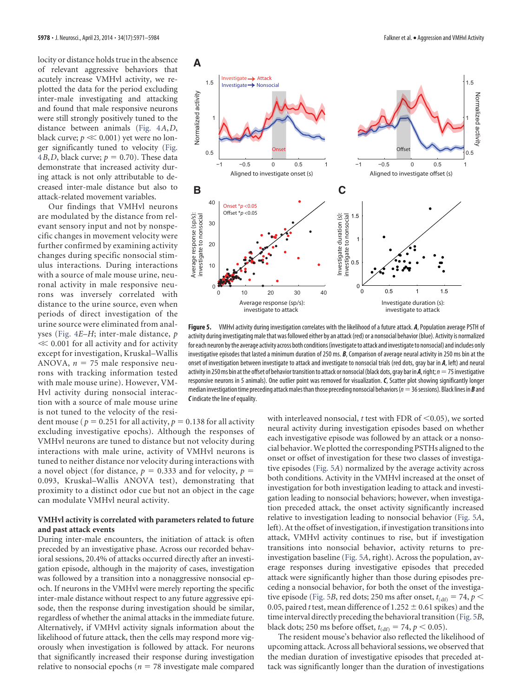locity or distance holds true in the absence of relevant aggressive behaviors that acutely increase VMHvl activity, we replotted the data for the period excluding inter-male investigating and attacking and found that male responsive neurons were still strongly positively tuned to the distance between animals [\(Fig. 4](#page-6-0)*A*,*D*, black curve;  $p \ll 0.001$ ) yet were no longer significantly tuned to velocity [\(Fig.](#page-6-0) [4](#page-6-0)*B*,*D*, black curve;  $p = 0.70$ ). These data demonstrate that increased activity during attack is not only attributable to decreased inter-male distance but also to attack-related movement variables.

Our findings that VMHvl neurons are modulated by the distance from relevant sensory input and not by nonspecific changes in movement velocity were further confirmed by examining activity changes during specific nonsocial stimulus interactions. During interactions with a source of male mouse urine, neuronal activity in male responsive neurons was inversely correlated with distance to the urine source, even when periods of direct investigation of the urine source were eliminated from analyses [\(Fig. 4](#page-6-0)*E*–*H*; inter-male distance, *p*  $\ll$  0.001 for all activity and for activity except for investigation, Kruskal–Wallis ANOVA,  $n = 75$  male responsive neurons with tracking information tested with male mouse urine). However, VM-Hvl activity during nonsocial interaction with a source of male mouse urine is not tuned to the velocity of the resi-

dent mouse ( $p = 0.251$  for all activity,  $p = 0.138$  for all activity excluding investigative epochs). Although the responses of VMHvl neurons are tuned to distance but not velocity during interactions with male urine, activity of VMHvl neurons is tuned to neither distance nor velocity during interactions with a novel object (for distance,  $p = 0.333$  and for velocity,  $p =$ 0.093, Kruskal–Wallis ANOVA test), demonstrating that proximity to a distinct odor cue but not an object in the cage can modulate VMHvl neural activity.

## **VMHvl activity is correlated with parameters related to future and past attack events**

During inter-male encounters, the initiation of attack is often preceded by an investigative phase. Across our recorded behavioral sessions, 20.4% of attacks occurred directly after an investigation episode, although in the majority of cases, investigation was followed by a transition into a nonaggressive nonsocial epoch. If neurons in the VMHvl were merely reporting the specific inter-male distance without respect to any future aggressive episode, then the response during investigation should be similar, regardless of whether the animal attacks in the immediate future. Alternatively, if VMHvl activity signals information about the likelihood of future attack, then the cells may respond more vigorously when investigation is followed by attack. For neurons that significantly increased their response during investigation relative to nonsocial epochs ( $n = 78$  investigate male compared



<span id="page-7-0"></span>**Figure 5.** VMHvl activity during investigation correlates with the likelihood of a future attack. *A*, Population average PSTH of activity during investigating male that was followed either by an attack (red) or a nonsocial behavior (blue). Activity is normalized for each neuron by the average activity across both conditions (investigate to attack and investigate to nonsocial) and includes only investigative episodes that lasted a minimum duration of 250 ms. *B*, Comparison of average neural activity in 250 ms bin at the onset of investigation between investigate to attack and investigate to nonsocial trials (red dots, gray bar in *A*, left) and neural activity in 250 ms bin at the offset of behavior transition to attack or nonsocial (black dots, gray bar in *A*, right;  $n=75$  investigative responsive neurons in 5 animals). One outlier point was removed for visualization. *C*, Scatter plot showing significantly longer median investigation time preceding attack males than those preceding nonsocial behaviors ( $n=36$  sessions). Black lines in  $\bm{B}$  and *C*indicate the line of equality.

with interleaved nonsocial,  $t$  test with FDR of  $\leq 0.05$ ), we sorted neural activity during investigation episodes based on whether each investigative episode was followed by an attack or a nonsocial behavior.We plotted the corresponding PSTHs aligned to the onset or offset of investigation for these two classes of investigative episodes [\(Fig. 5](#page-7-0)*A*) normalized by the average activity across both conditions. Activity in the VMHvl increased at the onset of investigation for both investigation leading to attack and investigation leading to nonsocial behaviors; however, when investigation preceded attack, the onset activity significantly increased relative to investigation leading to nonsocial behavior [\(Fig. 5](#page-7-0)*A*, left). At the offset of investigation, if investigation transitions into attack, VMHvl activity continues to rise, but if investigation transitions into nonsocial behavior, activity returns to preinvestigation baseline [\(Fig. 5](#page-7-0)*A*, right). Across the population, average responses during investigative episodes that preceded attack were significantly higher than those during episodes preceding a nonsocial behavior, for both the onset of the investiga-tive episode [\(Fig. 5](#page-7-0)*B*, red dots; 250 ms after onset,  $t_{\text{(df)}} = 74$ ,  $p <$ 0.05, paired *t* test, mean difference of 1.252  $\pm$  0.61 spikes) and the time interval directly preceding the behavioral transition [\(Fig. 5](#page-7-0)*B*, black dots; 250 ms before offset,  $t_{(df)} = 74$ ,  $p < 0.05$ ).

The resident mouse's behavior also reflected the likelihood of upcoming attack. Across all behavioral sessions, we observed that the median duration of investigative episodes that preceded attack was significantly longer than the duration of investigations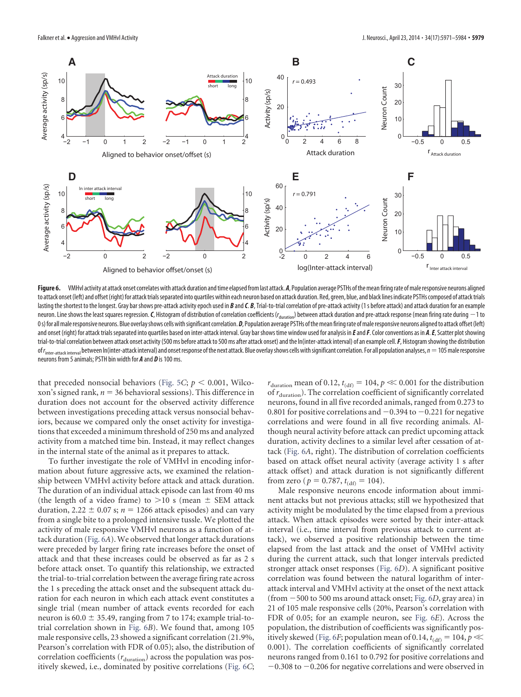

<span id="page-8-0"></span>Figure 6. VMHvl activity at attack onset correlates with attack duration and time elapsed from last attack. *A*, Population average PSTHs of the mean firing rate of male responsive neurons aligned to attack onset(left) and offset(right) for attacktrialsseparated into quartiles within each neuron based on attack duration. Red, green, blue, and black lines indicate PSTHs composed of attacktrials lasting the shortest to the longest. Gray bar shows pre-attack activity epoch used in *B* and *C*. *B*, Trial-to-trial correlation of pre-attack activity (1 s before attack) and attack duration for an example neuron. Line shows the least squares regression. C, Histogram of distribution of correlation coefficients (*r<sub>duration</sub>*) between attack duration and pre-attack response (mean firing rate during -1 to 0s) for all male responsive neurons. Blue overlay shows cells with significant correlation. D, Population average PSTHs of the mean firing rate of male responsive neurons aligned to attack offset (left) and onset (right) for attack trials separated into quartiles based on inter-attack interval. Gray bar shows time window used for analysis in *E* and *F*. Color conventions as in *A*. E, Scatter plot showing trial-to-trial correlation between attack onset activity (500 ms before attack to 500 ms after attack onset) and the ln(inter-attack interval) of an example cell.*F*, Histogramshowing the distribution of r<sub>inter-attack interval</sub> between ln(inter-attack interval) and onset response of the next attack. Blue overlay shows cells with significant correlation. For all population analyses,  $n = 105$  male responsive neurons from 5 animals; PSTH bin width for *A* and *D* is 100 ms.

that preceded nonsocial behaviors (Fig.  $5C$ ;  $p < 0.001$ , Wilcoxon's signed rank,  $n = 36$  behavioral sessions). This difference in duration does not account for the observed activity difference between investigations preceding attack versus nonsocial behaviors, because we compared only the onset activity for investigations that exceeded a minimum threshold of 250 ms and analyzed activity from a matched time bin. Instead, it may reflect changes in the internal state of the animal as it prepares to attack.

To further investigate the role of VMHvl in encoding information about future aggressive acts, we examined the relationship between VMHvl activity before attack and attack duration. The duration of an individual attack episode can last from 40 ms (the length of a video frame) to  $>$ 10 s (mean  $\pm$  SEM attack duration, 2.22  $\pm$  0.07 s;  $n = 1266$  attack episodes) and can vary from a single bite to a prolonged intensive tussle. We plotted the activity of male responsive VMHvl neurons as a function of attack duration [\(Fig. 6](#page-8-0)*A*). We observed that longer attack durations were preceded by larger firing rate increases before the onset of attack and that these increases could be observed as far as 2 s before attack onset. To quantify this relationship, we extracted the trial-to-trial correlation between the average firing rate across the 1 s preceding the attack onset and the subsequent attack duration for each neuron in which each attack event constitutes a single trial (mean number of attack events recorded for each neuron is 60.0  $\pm$  35.49, ranging from 7 to 174; example trial-totrial correlation shown in [Fig. 6](#page-8-0)*B*). We found that, among 105 male responsive cells, 23 showed a significant correlation (21.9%, Pearson's correlation with FDR of 0.05); also, the distribution of correlation coefficients ( $r_{\text{duration}}$ ) across the population was positively skewed, i.e., dominated by positive correlations [\(Fig. 6](#page-8-0)*C*;  $r_{\text{duration}}$  mean of 0.12,  $t_{\text{(df)}} = 104$ ,  $p \ll 0.001$  for the distribution of  $r_{\rm duration}$ ). The correlation coefficient of significantly correlated neurons, found in all five recorded animals, ranged from 0.273 to 0.801 for positive correlations and  $-0.394$  to  $-0.221$  for negative correlations and were found in all five recording animals. Although neural activity before attack can predict upcoming attack duration, activity declines to a similar level after cessation of attack [\(Fig. 6](#page-8-0)*A*, right). The distribution of correlation coefficients based on attack offset neural activity (average activity 1 s after attack offset) and attack duration is not significantly different from zero ( $p = 0.787$ ,  $t_{(df)} = 104$ ).

Male responsive neurons encode information about imminent attacks but not previous attacks; still we hypothesized that activity might be modulated by the time elapsed from a previous attack. When attack episodes were sorted by their inter-attack interval (i.e., time interval from previous attack to current attack), we observed a positive relationship between the time elapsed from the last attack and the onset of VMHvl activity during the current attack, such that longer intervals predicted stronger attack onset responses [\(Fig. 6](#page-8-0)*D*). A significant positive correlation was found between the natural logarithm of interattack interval and VMHvl activity at the onset of the next attack (from 500 to 500 ms around attack onset; [Fig. 6](#page-8-0)*D*, gray area) in 21 of 105 male responsive cells (20%, Pearson's correlation with FDR of 0.05; for an example neuron, see [Fig. 6](#page-8-0)*E*). Across the population, the distribution of coefficients was significantly pos-itively skewed [\(Fig. 6](#page-8-0)*F*; population mean of 0.14,  $t_{(df)} = 104$ ,  $p \ll$ 0.001). The correlation coefficients of significantly correlated neurons ranged from 0.161 to 0.792 for positive correlations and  $-0.308$  to  $-0.206$  for negative correlations and were observed in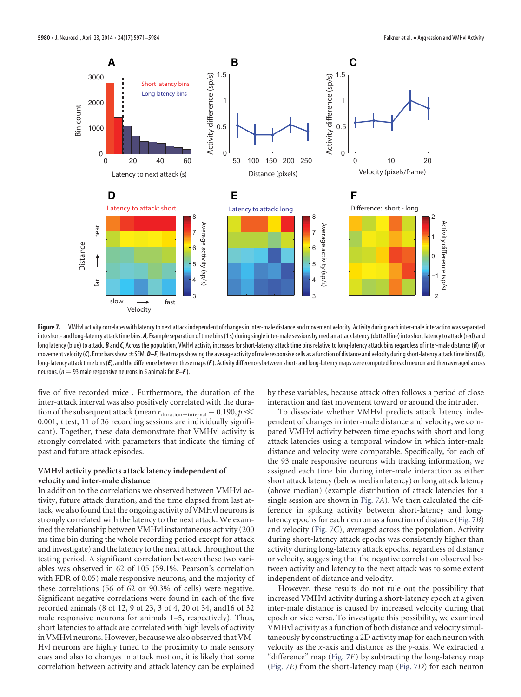

<span id="page-9-0"></span>Figure 7. VMHvl activity correlates with latency to next attack independent of changes in inter-male distance and movement velocity. Activity during each inter-male interaction was separated intoshort- and long-latency attack time bins. *A*, Exampleseparation of time bins (1s) duringsingle inter-malesessions by median attack latency (dotted line) intoshort latency to attack (red) and long latency (blue) to attack. *B* and *C*, Across the population, VMHvl activity increases for short-latency attack time bins relative to long-latency attack bins regardless of inter-male distance (*B*) or movement velocity (*C*). Error bars show  $\pm$  SEM. *D–F*, Heat maps showing the average activity of male responsive cells as a function of distance and velocity during short-latency attack time bins (*D*), long-latency attack time bins (*E*), and the difference between these maps (*F*). Activity differences between short- and long-latency maps were computed for each neuron and then averaged across neurons. (*n* 93 male responsive neurons in 5 animals for *B–F*).

five of five recorded mice . Furthermore, the duration of the inter-attack interval was also positively correlated with the duration of the subsequent attack (mean  $r_{\text{duration-interval}} = 0.190, p \ll 1$ 0.001, *t* test, 11 of 36 recording sessions are individually significant). Together, these data demonstrate that VMHvl activity is strongly correlated with parameters that indicate the timing of past and future attack episodes.

## **VMHvl activity predicts attack latency independent of velocity and inter-male distance**

In addition to the correlations we observed between VMHvl activity, future attack duration, and the time elapsed from last attack, we also found that the ongoing activity of VMHvl neurons is strongly correlated with the latency to the next attack. We examined the relationship between VMHvl instantaneous activity (200 ms time bin during the whole recording period except for attack and investigate) and the latency to the next attack throughout the testing period. A significant correlation between these two variables was observed in 62 of 105 (59.1%, Pearson's correlation with FDR of 0.05) male responsive neurons, and the majority of these correlations (56 of 62 or 90.3% of cells) were negative. Significant negative correlations were found in each of the five recorded animals (8 of 12, 9 of 23, 3 of 4, 20 of 34, and16 of 32 male responsive neurons for animals 1–5, respectively). Thus, short latencies to attack are correlated with high levels of activity in VMHvl neurons. However, because we also observed that VM-Hvl neurons are highly tuned to the proximity to male sensory cues and also to changes in attack motion, it is likely that some correlation between activity and attack latency can be explained

by these variables, because attack often follows a period of close interaction and fast movement toward or around the intruder.

To dissociate whether VMHvl predicts attack latency independent of changes in inter-male distance and velocity, we compared VMHvl activity between time epochs with short and long attack latencies using a temporal window in which inter-male distance and velocity were comparable. Specifically, for each of the 93 male responsive neurons with tracking information, we assigned each time bin during inter-male interaction as either short attack latency (below median latency) or long attack latency (above median) (example distribution of attack latencies for a single session are shown in [Fig. 7](#page-9-0)*A*). We then calculated the difference in spiking activity between short-latency and longlatency epochs for each neuron as a function of distance [\(Fig. 7](#page-9-0)*B*) and velocity [\(Fig. 7](#page-9-0)*C*), averaged across the population. Activity during short-latency attack epochs was consistently higher than activity during long-latency attack epochs, regardless of distance or velocity, suggesting that the negative correlation observed between activity and latency to the next attack was to some extent independent of distance and velocity.

However, these results do not rule out the possibility that increased VMHvl activity during a short-latency epoch at a given inter-male distance is caused by increased velocity during that epoch or vice versa. To investigate this possibility, we examined VMHvl activity as a function of both distance and velocity simultaneously by constructing a 2D activity map for each neuron with velocity as the *x*-axis and distance as the *y*-axis. We extracted a "difference" map [\(Fig. 7](#page-9-0)*F*) by subtracting the long-latency map [\(Fig. 7](#page-9-0)*E*) from the short-latency map [\(Fig. 7](#page-9-0)*D*) for each neuron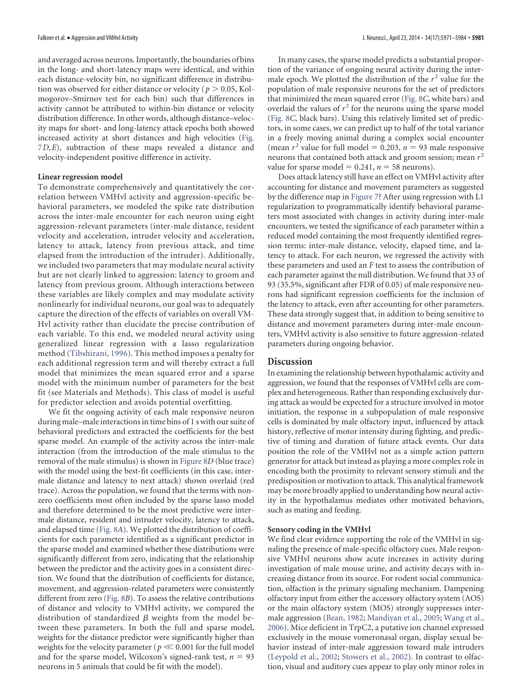and averaged across neurons. Importantly, the boundaries of bins in the long- and short-latency maps were identical, and within each distance-velocity bin, no significant difference in distribution was observed for either distance or velocity ( $p > 0.05$ , Kolmogorov–Smirnov test for each bin) such that differences in activity cannot be attributed to within-bin distance or velocity distribution difference. In other words, although distance–velocity maps for short- and long-latency attack epochs both showed increased activity at short distances and high velocities [\(Fig.](#page-9-0) [7](#page-9-0)*D*,*E*), subtraction of these maps revealed a distance and velocity-independent positive difference in activity.

#### **Linear regression model**

To demonstrate comprehensively and quantitatively the correlation between VMHvl activity and aggression-specific behavioral parameters, we modeled the spike rate distribution across the inter-male encounter for each neuron using eight aggression-relevant parameters (inter-male distance, resident velocity and acceleration, intruder velocity and acceleration, latency to attack, latency from previous attack, and time elapsed from the introduction of the intruder). Additionally, we included two parameters that may modulate neural activity but are not clearly linked to aggression: latency to groom and latency from previous groom. Although interactions between these variables are likely complex and may modulate activity nonlinearly for individual neurons, our goal was to adequately capture the direction of the effects of variables on overall VM-Hvl activity rather than elucidate the precise contribution of each variable. To this end, we modeled neural activity using generalized linear regression with a lasso regularization method [\(Tibshirani, 1996\)](#page-13-9). This method imposes a penalty for each additional regression term and will thereby extract a full model that minimizes the mean squared error and a sparse model with the minimum number of parameters for the best fit (see Materials and Methods). This class of model is useful for predictor selection and avoids potential overfitting.

We fit the ongoing activity of each male responsive neuron during male–male interactions in time bins of 1 s with our suite of behavioral predictors and extracted the coefficients for the best sparse model. An example of the activity across the inter-male interaction (from the introduction of the male stimulus to the removal of the male stimulus) is shown in [Figure 8](#page-11-0)*D* (blue trace) with the model using the best-fit coefficients (in this case, intermale distance and latency to next attack) shown overlaid (red trace). Across the population, we found that the terms with nonzero coefficients most often included by the sparse lasso model and therefore determined to be the most predictive were intermale distance, resident and intruder velocity, latency to attack, and elapsed time [\(Fig. 8](#page-11-0)*A*). We plotted the distribution of coefficients for each parameter identified as a significant predictor in the sparse model and examined whether these distributions were significantly different from zero, indicating that the relationship between the predictor and the activity goes in a consistent direction. We found that the distribution of coefficients for distance, movement, and aggression-related parameters were consistently different from zero [\(Fig. 8](#page-11-0)*B*). To assess the relative contributions of distance and velocity to VMHvl activity, we compared the distribution of standardized  $\beta$  weights from the model between these parameters. In both the full and sparse model, weights for the distance predictor were significantly higher than weights for the velocity parameter ( $p \ll 0.001$  for the full model and for the sparse model, Wilcoxon's signed-rank test,  $n = 93$ neurons in 5 animals that could be fit with the model).

In many cases, the sparse model predicts a substantial proportion of the variance of ongoing neural activity during the intermale epoch. We plotted the distribution of the  $r<sup>2</sup>$  value for the population of male responsive neurons for the set of predictors that minimized the mean squared error [\(Fig. 8](#page-11-0)*C*, white bars) and overlaid the values of  $r^2$  for the neurons using the sparse model [\(Fig. 8](#page-11-0)*C*, black bars). Using this relatively limited set of predictors, in some cases, we can predict up to half of the total variance in a freely moving animal during a complex social encounter (mean  $r^2$  value for full model = 0.203,  $n = 93$  male responsive neurons that contained both attack and groom session; mean  $r^2$ value for sparse model =  $0.241$ ,  $n = 58$  neurons).

Does attack latency still have an effect on VMHvl activity after accounting for distance and movement parameters as suggested by the difference map in [Figure 7?](#page-9-0) After using regression with L1 regularization to programmatically identify behavioral parameters most associated with changes in activity during inter-male encounters, we tested the significance of each parameter within a reduced model containing the most frequently identified regression terms: inter-male distance, velocity, elapsed time, and latency to attack. For each neuron, we regressed the activity with these parameters and used an *F* test to assess the contribution of each parameter against the null distribution. We found that 33 of 93 (35.5%, significant after FDR of 0.05) of male responsive neurons had significant regression coefficients for the inclusion of the latency to attack, even after accounting for other parameters. These data strongly suggest that, in addition to being sensitive to distance and movement parameters during inter-male encounters, VMHvl activity is also sensitive to future aggression-related parameters during ongoing behavior.

## **Discussion**

In examining the relationship between hypothalamic activity and aggression, we found that the responses of VMHvl cells are complex and heterogeneous. Rather than responding exclusively during attack as would be expected for a structure involved in motor initiation, the response in a subpopulation of male responsive cells is dominated by male olfactory input, influenced by attack history, reflective of motor intensity during fighting, and predictive of timing and duration of future attack events. Our data position the role of the VMHvl not as a simple action pattern generator for attack but instead as playing a more complex role in encoding both the proximity to relevant sensory stimuli and the predisposition or motivation to attack. This analytical framework may be more broadly applied to understanding how neural activity in the hypothalamus mediates other motivated behaviors, such as mating and feeding.

#### **Sensory coding in the VMHvl**

We find clear evidence supporting the role of the VMHvl in signaling the presence of male-specific olfactory cues. Male responsive VMHvl neurons show acute increases in activity during investigation of male mouse urine, and activity decays with increasing distance from its source. For rodent social communication, olfaction is the primary signaling mechanism. Dampening olfactory input from either the accessory olfactory system (AOS) or the main olfactory system (MOS) strongly suppresses intermale aggression [\(Bean, 1982;](#page-12-4) [Mandiyan et al., 2005;](#page-13-11) [Wang et al.,](#page-13-12) [2006\)](#page-13-12). Mice deficient in TrpC2, a putative ion channel expressed exclusively in the mouse vomeronasal organ, display sexual behavior instead of inter-male aggression toward male intruders [\(Leypold et al., 2002;](#page-13-13) [Stowers et al., 2002\)](#page-13-14). In contrast to olfaction, visual and auditory cues appear to play only minor roles in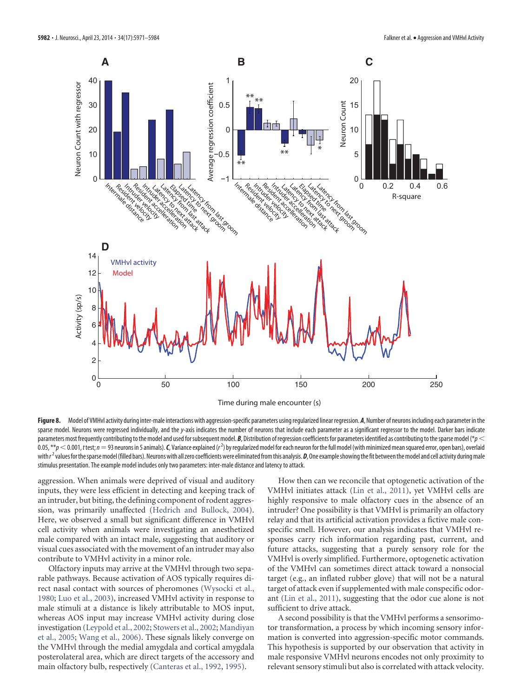

<span id="page-11-0"></span>Figure 8. Model of VMHvl activity during inter-male interactions with aggression-specific parameters using regularized linear regression. *A*, Number of neurons including each parameter in the sparse model. Neurons were regressed individually, and the *y*-axis indicates the number of neurons that include each parameter as a significant regressor to the model. Darker bars indicate parameters most frequently contributing to the model and used for subsequent model. *B*, Distribution of regression coefficients for parameters identified as contributing to the sparse model (\* $p$   $\lt$ 0.05, \*\*p < 0.001, *t* test; n = 93 neurons in 5 animals). **C**, Variance explained (r<sup>2</sup>) by regularized model for each neuron for the full model (with minimized mean squared error, open bars), overlaid with *r*<sup>2</sup> values for the sparse model (filled bars). Neurons with all zero coefficients were eliminated from this analysis. *D*, One example showing the fit between the model and cell activity during male

aggression. When animals were deprived of visual and auditory inputs, they were less efficient in detecting and keeping track of an intruder, but biting, the defining component of rodent aggression, was primarily unaffected [\(Hedrich and Bullock, 2004\)](#page-13-15). Here, we observed a small but significant difference in VMHvl cell activity when animals were investigating an anesthetized male compared with an intact male, suggesting that auditory or visual cues associated with the movement of an intruder may also contribute to VMHvl activity in a minor role.

stimulus presentation. The example model includes only two parameters: inter-male distance and latency to attack.

Olfactory inputs may arrive at the VMHvl through two separable pathways. Because activation of AOS typically requires direct nasal contact with sources of pheromones [\(Wysocki et al.,](#page-13-16) [1980;](#page-13-16) [Luo et al., 2003\)](#page-13-17), increased VMHvl activity in response to male stimuli at a distance is likely attributable to MOS input, whereas AOS input may increase VMHvl activity during close investigation [\(Leypold et al., 2002;](#page-13-13) [Stowers et al., 2002;](#page-13-14) [Mandiyan](#page-13-11) [et al., 2005;](#page-13-11) [Wang et al., 2006\)](#page-13-12). These signals likely converge on the VMHvl through the medial amygdala and cortical amygdala posterolateral area, which are direct targets of the accessory and main olfactory bulb, respectively [\(Canteras et al., 1992,](#page-12-5) [1995\)](#page-12-6).

How then can we reconcile that optogenetic activation of the VMHvl initiates attack [\(Lin et al., 2011\)](#page-13-5), yet VMHvl cells are highly responsive to male olfactory cues in the absence of an intruder? One possibility is that VMHvl is primarily an olfactory relay and that its artificial activation provides a fictive male conspecific smell. However, our analysis indicates that VMHvl responses carry rich information regarding past, current, and future attacks, suggesting that a purely sensory role for the VMHvl is overly simplified. Furthermore, optogenetic activation of the VMHvl can sometimes direct attack toward a nonsocial target (e.g., an inflated rubber glove) that will not be a natural target of attack even if supplemented with male conspecific odorant [\(Lin et al., 2011\)](#page-13-5), suggesting that the odor cue alone is not sufficient to drive attack.

A second possibility is that the VMHvl performs a sensorimotor transformation, a process by which incoming sensory information is converted into aggression-specific motor commands. This hypothesis is supported by our observation that activity in male responsive VMHvl neurons encodes not only proximity to relevant sensory stimuli but also is correlated with attack velocity.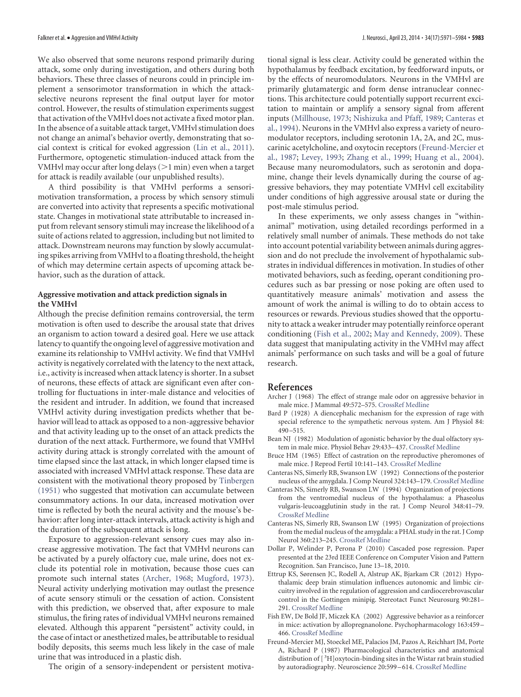We also observed that some neurons respond primarily during attack, some only during investigation, and others during both behaviors. These three classes of neurons could in principle implement a sensorimotor transformation in which the attackselective neurons represent the final output layer for motor control. However, the results of stimulation experiments suggest that activation of the VMHvl does not activate a fixed motor plan. In the absence of a suitable attack target, VMHvl stimulation does not change an animal's behavior overtly, demonstrating that social context is critical for evoked aggression [\(Lin et al., 2011\)](#page-13-5). Furthermore, optogenetic stimulation-induced attack from the VMHvl may occur after long delays  $(>1$  min) even when a target for attack is readily available (our unpublished results).

A third possibility is that VMHvl performs a sensorimotivation transformation, a process by which sensory stimuli are converted into activity that represents a specific motivational state. Changes in motivational state attributable to increased input from relevant sensory stimuli may increase the likelihood of a suite of actions related to aggression, including but not limited to attack. Downstream neurons may function by slowly accumulating spikes arriving from VMHvl to a floating threshold, the height of which may determine certain aspects of upcoming attack behavior, such as the duration of attack.

# **Aggressive motivation and attack prediction signals in the VMHvl**

Although the precise definition remains controversial, the term motivation is often used to describe the arousal state that drives an organism to action toward a desired goal. Here we use attack latency to quantify the ongoing level of aggressive motivation and examine its relationship to VMHvl activity. We find that VMHvl activity is negatively correlated with the latency to the next attack, i.e., activity is increased when attack latency is shorter. In a subset of neurons, these effects of attack are significant even after controlling for fluctuations in inter-male distance and velocities of the resident and intruder. In addition, we found that increased VMHvl activity during investigation predicts whether that behavior will lead to attack as opposed to a non-aggressive behavior and that activity leading up to the onset of an attack predicts the duration of the next attack. Furthermore, we found that VMHvl activity during attack is strongly correlated with the amount of time elapsed since the last attack, in which longer elapsed time is associated with increased VMHvl attack response. These data are consistent with the motivational theory proposed by [Tinbergen](#page-13-0) [\(1951\)](#page-13-0) who suggested that motivation can accumulate between consummatory actions. In our data, increased motivation over time is reflected by both the neural activity and the mouse's behavior: after long inter-attack intervals, attack activity is high and the duration of the subsequent attack is long.

Exposure to aggression-relevant sensory cues may also increase aggressive motivation. The fact that VMHvl neurons can be activated by a purely olfactory cue, male urine, does not exclude its potential role in motivation, because those cues can promote such internal states [\(Archer, 1968;](#page-12-7) [Mugford, 1973\)](#page-13-18). Neural activity underlying motivation may outlast the presence of acute sensory stimuli or the cessation of action. Consistent with this prediction, we observed that, after exposure to male stimulus, the firing rates of individual VMHvl neurons remained elevated. Although this apparent "persistent" activity could, in the case of intact or anesthetized males, be attributable to residual bodily deposits, this seems much less likely in the case of male urine that was introduced in a plastic dish.

The origin of a sensory-independent or persistent motiva-

tional signal is less clear. Activity could be generated within the hypothalamus by feedback excitation, by feedforward inputs, or by the effects of neuromodulators. Neurons in the VMHvl are primarily glutamatergic and form dense intranuclear connections. This architecture could potentially support recurrent excitation to maintain or amplify a sensory signal from afferent inputs [\(Millhouse, 1973;](#page-13-19) [Nishizuka and Pfaff, 1989;](#page-13-20) [Canteras et](#page-12-8) [al., 1994\)](#page-12-8). Neurons in the VMHvl also express a variety of neuromodulator receptors, including serotonin 1A, 2A, and 2C, muscarinic acetylcholine, and oxytocin receptors [\(Freund-Mercier et](#page-12-9) [al., 1987;](#page-12-9) [Levey, 1993;](#page-13-21) [Zhang et al., 1999;](#page-13-22) [Huang et al., 2004\)](#page-13-23). Because many neuromodulators, such as serotonin and dopamine, change their levels dynamically during the course of aggressive behaviors, they may potentiate VMHvl cell excitability under conditions of high aggressive arousal state or during the post-male stimulus period.

In these experiments, we only assess changes in "withinanimal" motivation, using detailed recordings performed in a relatively small number of animals. These methods do not take into account potential variability between animals during aggression and do not preclude the involvement of hypothalamic substrates in individual differences in motivation. In studies of other motivated behaviors, such as feeding, operant conditioning procedures such as bar pressing or nose poking are often used to quantitatively measure animals' motivation and assess the amount of work the animal is willing to do to obtain access to resources or rewards. Previous studies showed that the opportunity to attack a weaker intruder may potentially reinforce operant conditioning [\(Fish et al., 2002;](#page-12-10) [May and Kennedy, 2009\)](#page-13-24). These data suggest that manipulating activity in the VMHvl may affect animals' performance on such tasks and will be a goal of future research.

#### **References**

- <span id="page-12-7"></span>Archer J (1968) The effect of strange male odor on aggressive behavior in male mice. J Mammal 49:572–575. [CrossRef](http://dx.doi.org/10.2307/1378238) [Medline](http://www.ncbi.nlm.nih.gov/pubmed/5691429)
- <span id="page-12-0"></span>Bard P (1928) A diencephalic mechanism for the expression of rage with special reference to the sympathetic nervous system. Am J Physiol 84: 490 –515.
- <span id="page-12-4"></span>Bean NJ (1982) Modulation of agonistic behavior by the dual olfactory system in male mice. Physiol Behav 29:433–437. [CrossRef](http://dx.doi.org/10.1016/0031-9384(82)90262-1) [Medline](http://www.ncbi.nlm.nih.gov/pubmed/6891074)
- <span id="page-12-3"></span>Bruce HM (1965) Effect of castration on the reproductive pheromones of male mice. J Reprod Fertil 10:141–143. [CrossRef](http://dx.doi.org/10.1530/jrf.0.0100141) [Medline](http://www.ncbi.nlm.nih.gov/pubmed/14337805)
- <span id="page-12-5"></span>Canteras NS, Simerly RB, Swanson LW (1992) Connections of the posterior nucleus of the amygdala. J Comp Neurol 324:143–179. [CrossRef](http://dx.doi.org/10.1002/cne.903240203) [Medline](http://www.ncbi.nlm.nih.gov/pubmed/1430327)
- <span id="page-12-8"></span>Canteras NS, Simerly RB, Swanson LW (1994) Organization of projections from the ventromedial nucleus of the hypothalamus: a Phaseolus vulgaris-leucoagglutinin study in the rat. J Comp Neurol 348:41–79. [CrossRef](http://dx.doi.org/10.1002/cne.903480103) [Medline](http://www.ncbi.nlm.nih.gov/pubmed/7814684)
- <span id="page-12-6"></span>Canteras NS, Simerly RB, Swanson LW (1995) Organization of projections from the medial nucleus of the amygdala: a PHAL study in the rat. J Comp Neurol 360:213–245. [CrossRef](http://dx.doi.org/10.1002/cne.903600203) [Medline](http://www.ncbi.nlm.nih.gov/pubmed/8522644)
- <span id="page-12-2"></span>Dollar P, Welinder P, Perona P (2010) Cascaded pose regression. Paper presented at the 23rd IEEE Conference on Computer Vision and Pattern Recognition. San Francisco, June 13–18, 2010.
- <span id="page-12-1"></span>Ettrup KS, Sørensen JC, Rodell A, Alstrup AK, Bjarkam CR (2012) Hypothalamic deep brain stimulation influences autonomic and limbic circuitry involved in the regulation of aggression and cardiocerebrovascular control in the Gottingen minipig. Stereotact Funct Neurosurg 90:281– 291. [CrossRef](http://dx.doi.org/10.1159/000338087) [Medline](http://www.ncbi.nlm.nih.gov/pubmed/22797692)
- <span id="page-12-10"></span>Fish EW, De Bold JF, Miczek KA (2002) Aggressive behavior as a reinforcer in mice: activation by allopregnanolone. Psychopharmacology 163:459 – 466. [CrossRef](http://dx.doi.org/10.1007/s00213-002-1211-2) [Medline](http://www.ncbi.nlm.nih.gov/pubmed/12373446)
- <span id="page-12-9"></span>Freund-Mercier MJ, Stoeckel ME, Palacios JM, Pazos A, Reichhart JM, Porte A, Richard P (1987) Pharmacological characteristics and anatomical distribution of [3H] oxytocin-binding sites in the Wistar rat brain studied by autoradiography. Neuroscience 20:599 –614. [CrossRef](http://dx.doi.org/10.1016/0306-4522(87)90113-8) [Medline](http://www.ncbi.nlm.nih.gov/pubmed/3647280)